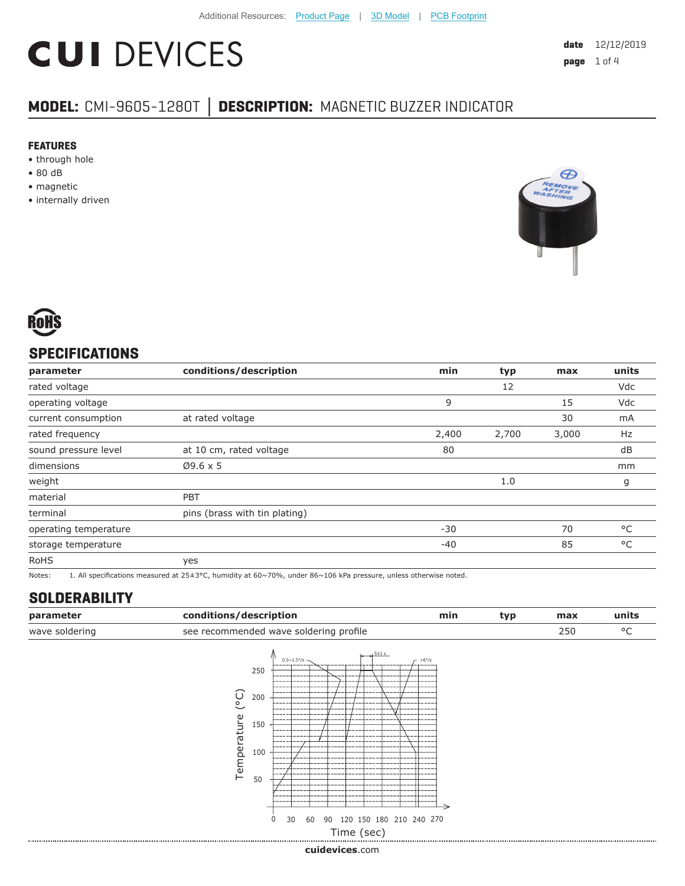# **CUI DEVICES**

## **MODEL:** CMI-9605-1280T **│ DESCRIPTION:** MAGNETIC BUZZER INDICATOR

#### **FEATURES**

- through hole
- 80 dB
- magnetic
- internally driven





### **SPECIFICATIONS**

| parameter             | conditions/description        | min   | typ   | max   | units        |
|-----------------------|-------------------------------|-------|-------|-------|--------------|
| rated voltage         |                               |       | 12    |       | Vdc          |
| operating voltage     |                               | 9     |       | 15    | <b>Vdc</b>   |
| current consumption   | at rated voltage              |       |       | 30    | mA           |
| rated frequency       |                               | 2,400 | 2,700 | 3,000 | Hz           |
| sound pressure level  | at 10 cm, rated voltage       | 80    |       |       | dB           |
| dimensions            | $Ø9.6 \times 5$               |       |       |       | mm           |
| weight                |                               |       | 1.0   |       | g            |
| material              | <b>PBT</b>                    |       |       |       |              |
| terminal              | pins (brass with tin plating) |       |       |       |              |
| operating temperature |                               | $-30$ |       | 70    | $^{\circ}$ C |
| storage temperature   |                               | $-40$ |       | 85    | $^{\circ}$ C |
| <b>RoHS</b>           | yes                           |       |       |       |              |

Notes: 1. All specifications measured at 25±3°C, humidity at 60~70%, under 86~106 kPa pressure, unless otherwise noted.

#### **SOLDERABILITY**

| parameter      | conditions/description                                                                                                                   |                                                      | min | typ | max | units |
|----------------|------------------------------------------------------------------------------------------------------------------------------------------|------------------------------------------------------|-----|-----|-----|-------|
| wave soldering | see recommended wave soldering profile                                                                                                   |                                                      |     |     | 250 | °C    |
|                | $0.5 \times 1.5^{\circ}/s$ -<br>250<br>$\rm _{\circ}$<br>200<br>Temperature<br>150<br>100<br>50<br>$\mathbf 0$<br>30<br>60<br>Time (sec) | $5 + 1 s$<br>$-$ >6°/s<br>90 120 150 180 210 240 270 |     |     |     |       |
|                |                                                                                                                                          |                                                      |     |     |     |       |

**cui[devices](https://www.cuidevices.com/track?actionLabel=Datasheet-ClickThrough-HomePage&label=CMI-9605-1280T.pdf&path=/)**.com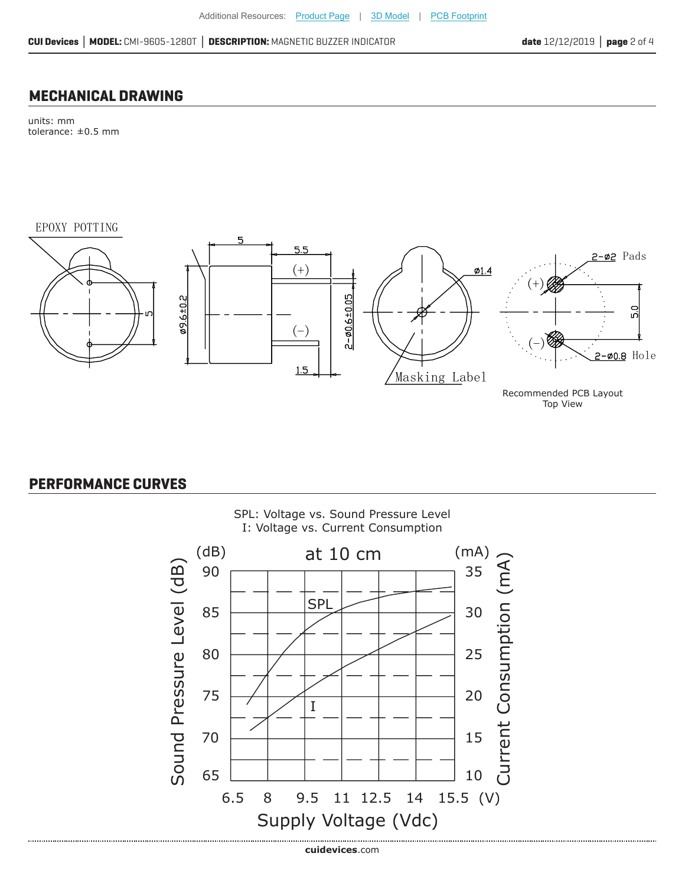#### **MECHANICAL DRAWING**

units: mm tolerance: ±0.5 mm

EPOXY POTTING



Top View

#### **PERFORMANCE CURVES**

.................................



SPL: Voltage vs. Sound Pressure Level I: Voltage vs. Current Consumption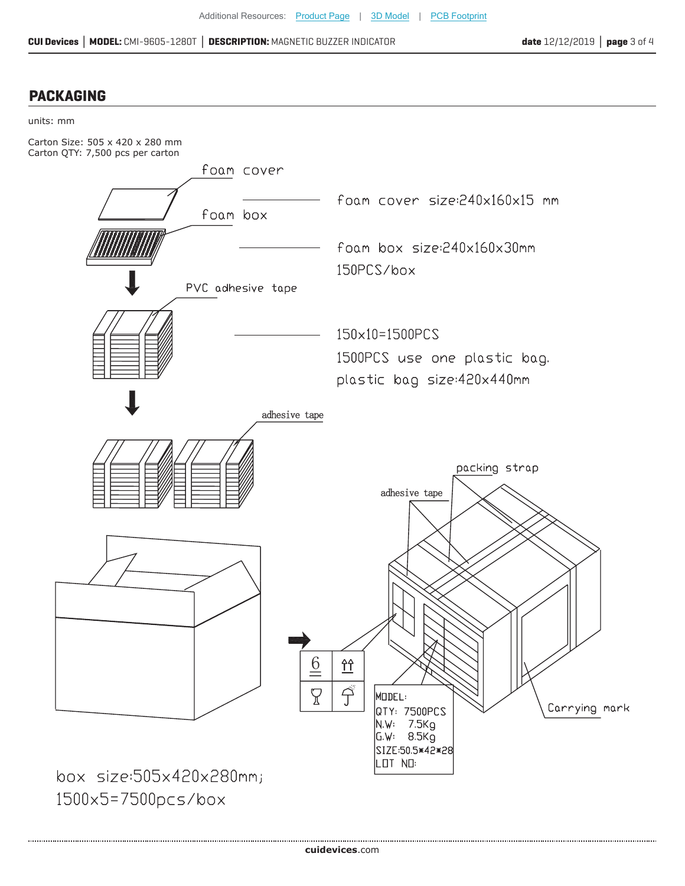#### **PACKAGING**



**cui[devices](https://www.cuidevices.com/track?actionLabel=Datasheet-ClickThrough-HomePage&label=CMI-9605-1280T.pdf&path=/)**.com